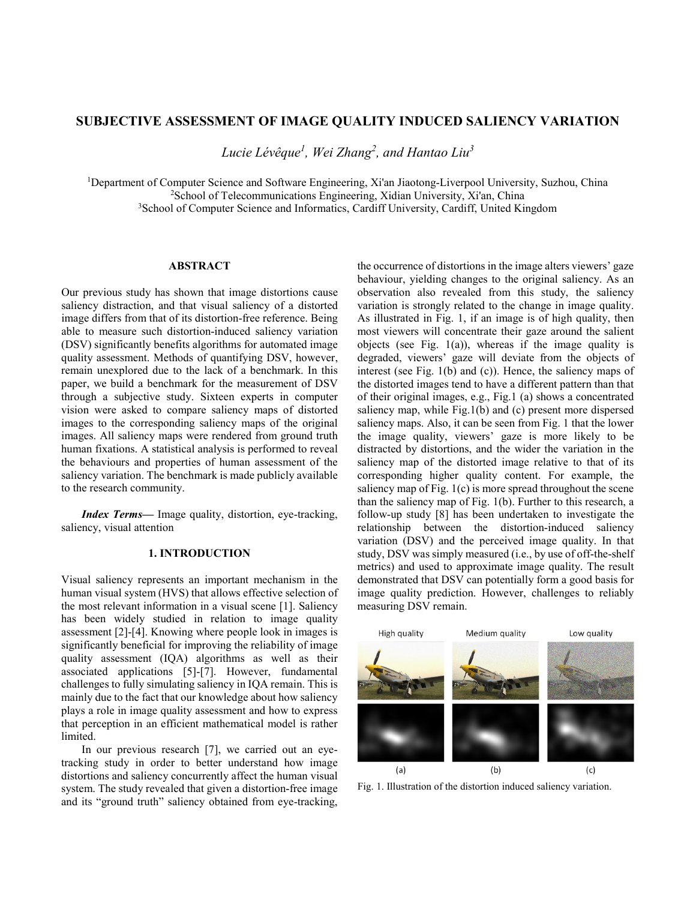# **SUBJECTIVE ASSESSMENT OF IMAGE QUALITY INDUCED SALIENCY VARIATION**

*Lucie Lévêque1 , Wei Zhang2 , and Hantao Liu3*

<sup>1</sup>Department of Computer Science and Software Engineering, Xi'an Jiaotong-Liverpool University, Suzhou, China <sup>2</sup>School of Telecommunications Engineering, Xidian University, Xi'an, China <sup>3</sup>School of Computer Science and Informatics, Cardiff University, Cardiff, United Kingdom

### **ABSTRACT**

Our previous study has shown that image distortions cause saliency distraction, and that visual saliency of a distorted image differs from that of its distortion-free reference. Being able to measure such distortion-induced saliency variation (DSV) significantly benefits algorithms for automated image quality assessment. Methods of quantifying DSV, however, remain unexplored due to the lack of a benchmark. In this paper, we build a benchmark for the measurement of DSV through a subjective study. Sixteen experts in computer vision were asked to compare saliency maps of distorted images to the corresponding saliency maps of the original images. All saliency maps were rendered from ground truth human fixations. A statistical analysis is performed to reveal the behaviours and properties of human assessment of the saliency variation. The benchmark is made publicly available to the research community.

*Index Terms—* Image quality, distortion, eye-tracking, saliency, visual attention

# **1. INTRODUCTION**

Visual saliency represents an important mechanism in the human visual system (HVS) that allows effective selection of the most relevant information in a visual scene [1]. Saliency has been widely studied in relation to image quality assessment [2]-[4]. Knowing where people look in images is significantly beneficial for improving the reliability of image quality assessment (IQA) algorithms as well as their associated applications [5]-[7]. However, fundamental challenges to fully simulating saliency in IQA remain. This is mainly due to the fact that our knowledge about how saliency plays a role in image quality assessment and how to express that perception in an efficient mathematical model is rather limited.

In our previous research [7], we carried out an eyetracking study in order to better understand how image distortions and saliency concurrently affect the human visual system. The study revealed that given a distortion-free image and its "ground truth" saliency obtained from eye-tracking,

the occurrence of distortions in the image alters viewers' gaze behaviour, yielding changes to the original saliency. As an observation also revealed from this study, the saliency variation is strongly related to the change in image quality. As illustrated in Fig. 1, if an image is of high quality, then most viewers will concentrate their gaze around the salient objects (see Fig.  $1(a)$ ), whereas if the image quality is degraded, viewers' gaze will deviate from the objects of interest (see Fig. 1(b) and (c)). Hence, the saliency maps of the distorted images tend to have a different pattern than that of their original images, e.g., Fig.1 (a) shows a concentrated saliency map, while Fig.1(b) and (c) present more dispersed saliency maps. Also, it can be seen from Fig. 1 that the lower the image quality, viewers' gaze is more likely to be distracted by distortions, and the wider the variation in the saliency map of the distorted image relative to that of its corresponding higher quality content. For example, the saliency map of Fig.  $1(c)$  is more spread throughout the scene than the saliency map of Fig. 1(b). Further to this research, a follow-up study [8] has been undertaken to investigate the relationship between the distortion-induced saliency variation (DSV) and the perceived image quality. In that study, DSV was simply measured (i.e., by use of off-the-shelf metrics) and used to approximate image quality. The result demonstrated that DSV can potentially form a good basis for image quality prediction. However, challenges to reliably measuring DSV remain.



Fig. 1. Illustration of the distortion induced saliency variation.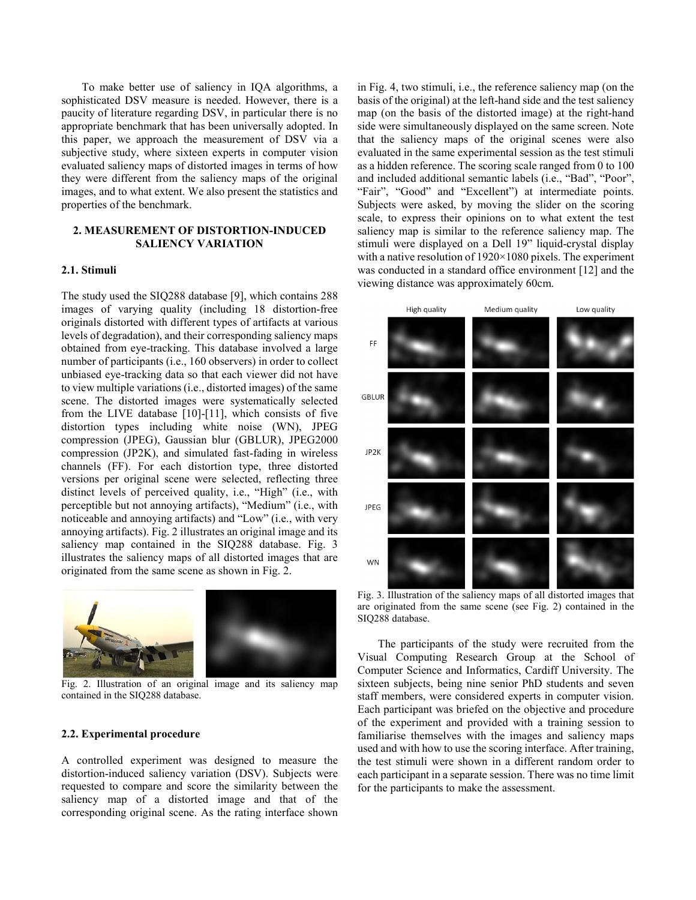To make better use of saliency in IQA algorithms, a sophisticated DSV measure is needed. However, there is a paucity of literature regarding DSV, in particular there is no appropriate benchmark that has been universally adopted. In this paper, we approach the measurement of DSV via a subjective study, where sixteen experts in computer vision evaluated saliency maps of distorted images in terms of how they were different from the saliency maps of the original images, and to what extent. We also present the statistics and properties of the benchmark.

# **2. MEASUREMENT OF DISTORTION-INDUCED SALIENCY VARIATION**

#### **2.1. Stimuli**

The study used the SIQ288 database [9], which contains 288 images of varying quality (including 18 distortion-free originals distorted with different types of artifacts at various levels of degradation), and their corresponding saliency maps obtained from eye-tracking. This database involved a large number of participants (i.e., 160 observers) in order to collect unbiased eye-tracking data so that each viewer did not have to view multiple variations (i.e., distorted images) of the same scene. The distorted images were systematically selected from the LIVE database [10]-[11], which consists of five distortion types including white noise (WN), JPEG compression (JPEG), Gaussian blur (GBLUR), JPEG2000 compression (JP2K), and simulated fast-fading in wireless channels (FF). For each distortion type, three distorted versions per original scene were selected, reflecting three distinct levels of perceived quality, i.e., "High" (i.e., with perceptible but not annoying artifacts), "Medium" (i.e., with noticeable and annoying artifacts) and "Low" (i.e., with very annoying artifacts). Fig. 2 illustrates an original image and its saliency map contained in the SIQ288 database. Fig. 3 illustrates the saliency maps of all distorted images that are originated from the same scene as shown in Fig. 2.



Fig. 2. Illustration of an original image and its saliency map contained in the SIQ288 database.

#### **2.2. Experimental procedure**

A controlled experiment was designed to measure the distortion-induced saliency variation (DSV). Subjects were requested to compare and score the similarity between the saliency map of a distorted image and that of the corresponding original scene. As the rating interface shown in Fig. 4, two stimuli, i.e., the reference saliency map (on the basis of the original) at the left-hand side and the test saliency map (on the basis of the distorted image) at the right-hand side were simultaneously displayed on the same screen. Note that the saliency maps of the original scenes were also evaluated in the same experimental session as the test stimuli as a hidden reference. The scoring scale ranged from 0 to 100 and included additional semantic labels (i.e., "Bad", "Poor", "Fair", "Good" and "Excellent") at intermediate points. Subjects were asked, by moving the slider on the scoring scale, to express their opinions on to what extent the test saliency map is similar to the reference saliency map. The stimuli were displayed on a Dell 19" liquid-crystal display with a native resolution of 1920×1080 pixels. The experiment was conducted in a standard office environment [12] and the viewing distance was approximately 60cm.



Fig. 3. Illustration of the saliency maps of all distorted images that are originated from the same scene (see Fig. 2) contained in the SIQ288 database.

The participants of the study were recruited from the Visual Computing Research Group at the School of Computer Science and Informatics, Cardiff University. The sixteen subjects, being nine senior PhD students and seven staff members, were considered experts in computer vision. Each participant was briefed on the objective and procedure of the experiment and provided with a training session to familiarise themselves with the images and saliency maps used and with how to use the scoring interface. After training, the test stimuli were shown in a different random order to each participant in a separate session. There was no time limit for the participants to make the assessment.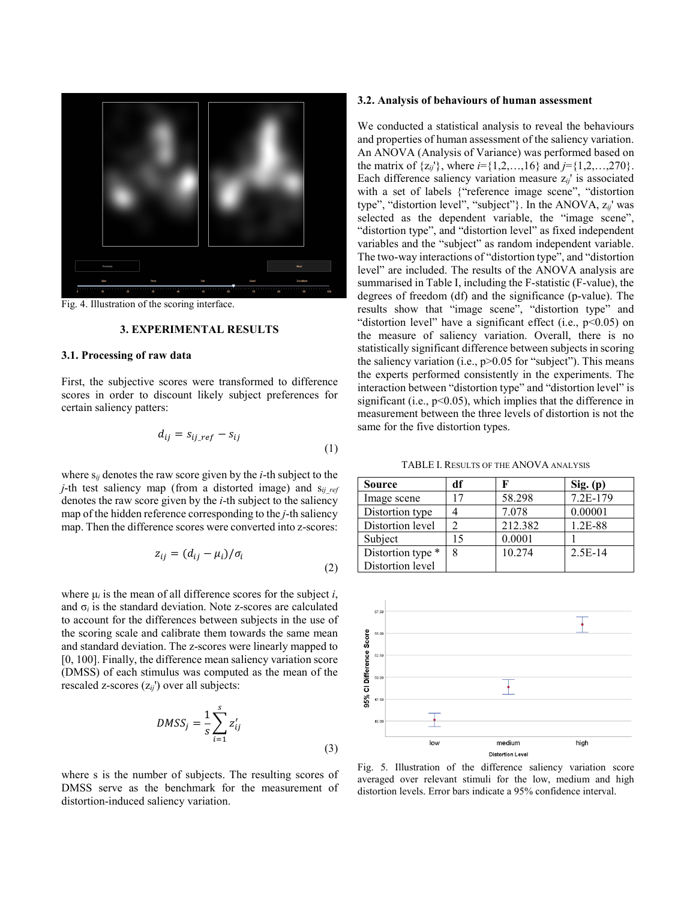

Fig. 4. Illustration of the scoring interface.

### **3. EXPERIMENTAL RESULTS**

## **3.1. Processing of raw data**

First, the subjective scores were transformed to difference scores in order to discount likely subject preferences for certain saliency patters:

$$
d_{ij} = s_{ij\_ref} - s_{ij}
$$
\n<sup>(1)</sup>

where s*ij* denotes the raw score given by the *i*-th subject to the *j*-th test saliency map (from a distorted image) and s<sub>ij ref</sub> denotes the raw score given by the *i*-th subject to the saliency map of the hidden reference corresponding to the *j*-th saliency map. Then the difference scores were converted into z-scores:

$$
z_{ij} = (d_{ij} - \mu_i) / \sigma_i
$$
\n<sup>(2)</sup>

where  $\mu_i$  is the mean of all difference scores for the subject *i*, and  $\sigma_i$  is the standard deviation. Note z-scores are calculated to account for the differences between subjects in the use of the scoring scale and calibrate them towards the same mean and standard deviation. The z-scores were linearly mapped to [0, 100]. Finally, the difference mean saliency variation score (DMSS) of each stimulus was computed as the mean of the rescaled z-scores (z*ij*') over all subjects:

$$
DMSS_j = \frac{1}{s} \sum_{i=1}^{s} z'_{ij}
$$
\n(3)

where s is the number of subjects. The resulting scores of DMSS serve as the benchmark for the measurement of distortion-induced saliency variation.

#### **3.2. Analysis of behaviours of human assessment**

We conducted a statistical analysis to reveal the behaviours and properties of human assessment of the saliency variation. An ANOVA (Analysis of Variance) was performed based on the matrix of  $\{z_{ij}\}\$ , where  $i = \{1, 2, ..., 16\}$  and  $j = \{1, 2, ..., 270\}\$ . Each difference saliency variation measure z*ij*' is associated with a set of labels {"reference image scene", "distortion type", "distortion level", "subject"}. In the ANOVA, z*ij*' was selected as the dependent variable, the "image scene", "distortion type", and "distortion level" as fixed independent variables and the "subject" as random independent variable. The two-way interactions of "distortion type", and "distortion level" are included. The results of the ANOVA analysis are summarised in Table I, including the F-statistic (F-value), the degrees of freedom (df) and the significance (p-value). The results show that "image scene", "distortion type" and "distortion level" have a significant effect (i.e.,  $p<0.05$ ) on the measure of saliency variation. Overall, there is no statistically significant difference between subjects in scoring the saliency variation (i.e.,  $p > 0.05$  for "subject"). This means the experts performed consistently in the experiments. The interaction between "distortion type" and "distortion level" is significant (i.e.,  $p<0.05$ ), which implies that the difference in measurement between the three levels of distortion is not the same for the five distortion types.

TABLE I. RESULTS OF THE ANOVA ANALYSIS

| Source            | df |         | Sig. (p)  |
|-------------------|----|---------|-----------|
| Image scene       |    | 58.298  | 7.2E-179  |
| Distortion type   |    | 7.078   | 0.00001   |
| Distortion level  |    | 212.382 | 1.2E-88   |
| Subject           | 15 | 0.0001  |           |
| Distortion type * | 8  | 10.274  | $2.5E-14$ |
| Distortion level  |    |         |           |



Fig. 5. Illustration of the difference saliency variation score averaged over relevant stimuli for the low, medium and high distortion levels. Error bars indicate a 95% confidence interval.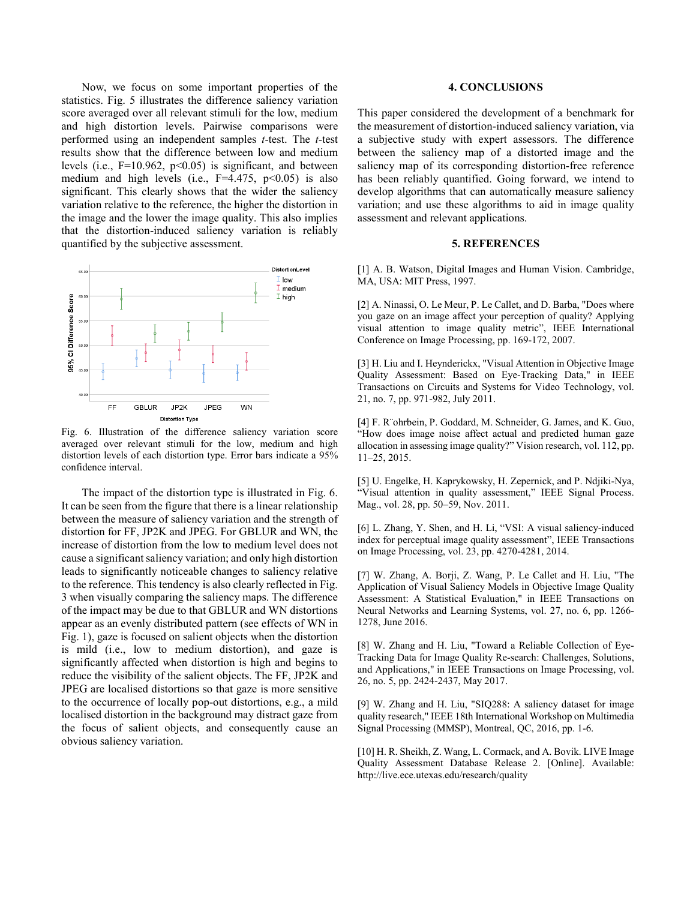Now, we focus on some important properties of the statistics. Fig. 5 illustrates the difference saliency variation score averaged over all relevant stimuli for the low, medium and high distortion levels. Pairwise comparisons were performed using an independent samples *t*-test. The *t*-test results show that the difference between low and medium levels (i.e.,  $F=10.962$ ,  $p<0.05$ ) is significant, and between medium and high levels (i.e.,  $F=4.475$ ,  $p<0.05$ ) is also significant. This clearly shows that the wider the saliency variation relative to the reference, the higher the distortion in the image and the lower the image quality. This also implies that the distortion-induced saliency variation is reliably quantified by the subjective assessment.



Fig. 6. Illustration of the difference saliency variation score averaged over relevant stimuli for the low, medium and high distortion levels of each distortion type. Error bars indicate a 95% confidence interval.

The impact of the distortion type is illustrated in Fig. 6. It can be seen from the figure that there is a linear relationship between the measure of saliency variation and the strength of distortion for FF, JP2K and JPEG. For GBLUR and WN, the increase of distortion from the low to medium level does not cause a significant saliency variation; and only high distortion leads to significantly noticeable changes to saliency relative to the reference. This tendency is also clearly reflected in Fig. 3 when visually comparing the saliency maps. The difference of the impact may be due to that GBLUR and WN distortions appear as an evenly distributed pattern (see effects of WN in Fig. 1), gaze is focused on salient objects when the distortion is mild (i.e., low to medium distortion), and gaze is significantly affected when distortion is high and begins to reduce the visibility of the salient objects. The FF, JP2K and JPEG are localised distortions so that gaze is more sensitive to the occurrence of locally pop-out distortions, e.g., a mild localised distortion in the background may distract gaze from the focus of salient objects, and consequently cause an obvious saliency variation.

#### **4. CONCLUSIONS**

This paper considered the development of a benchmark for the measurement of distortion-induced saliency variation, via a subjective study with expert assessors. The difference between the saliency map of a distorted image and the saliency map of its corresponding distortion-free reference has been reliably quantified. Going forward, we intend to develop algorithms that can automatically measure saliency variation; and use these algorithms to aid in image quality assessment and relevant applications.

## **5. REFERENCES**

[1] A. B. Watson, Digital Images and Human Vision. Cambridge, MA, USA: MIT Press, 1997.

[2] A. Ninassi, O. Le Meur, P. Le Callet, and D. Barba, "Does where you gaze on an image affect your perception of quality? Applying visual attention to image quality metric", IEEE International Conference on Image Processing, pp. 169-172, 2007.

[3] H. Liu and I. Heynderickx, "Visual Attention in Objective Image Quality Assessment: Based on Eye-Tracking Data," in IEEE Transactions on Circuits and Systems for Video Technology, vol. 21, no. 7, pp. 971-982, July 2011.

[4] F. R¨ohrbein, P. Goddard, M. Schneider, G. James, and K. Guo, "How does image noise affect actual and predicted human gaze allocation in assessing image quality?" Vision research, vol. 112, pp. 11–25, 2015.

[5] U. Engelke, H. Kaprykowsky, H. Zepernick, and P. Ndjiki-Nya, "Visual attention in quality assessment," IEEE Signal Process. Mag., vol. 28, pp. 50–59, Nov. 2011.

[6] L. Zhang, Y. Shen, and H. Li, "VSI: A visual saliency-induced index for perceptual image quality assessment", IEEE Transactions on Image Processing, vol. 23, pp. 4270-4281, 2014.

[7] W. Zhang, A. Borji, Z. Wang, P. Le Callet and H. Liu, "The Application of Visual Saliency Models in Objective Image Quality Assessment: A Statistical Evaluation," in IEEE Transactions on Neural Networks and Learning Systems, vol. 27, no. 6, pp. 1266- 1278, June 2016.

[8] W. Zhang and H. Liu, "Toward a Reliable Collection of Eye-Tracking Data for Image Quality Re-search: Challenges, Solutions, and Applications," in IEEE Transactions on Image Processing, vol. 26, no. 5, pp. 2424-2437, May 2017.

[9] W. Zhang and H. Liu, "SIQ288: A saliency dataset for image quality research," IEEE 18th International Workshop on Multimedia Signal Processing (MMSP), Montreal, QC, 2016, pp. 1-6.

[10] H. R. Sheikh, Z. Wang, L. Cormack, and A. Bovik. LIVE Image Quality Assessment Database Release 2. [Online]. Available: http://live.ece.utexas.edu/research/quality